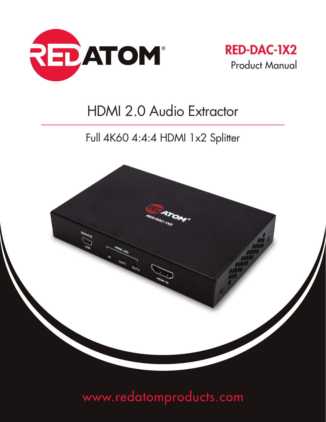



# HDMI 2.0 Audio Extractor

## Full 4K60 4:4:4 HDMI 1x2 Splitter



# www.redatomproducts.com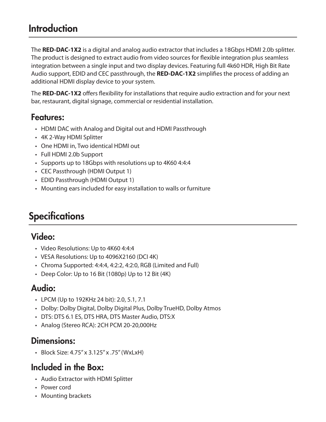## **Introduction**

The **RED-DAC-1X2** is a digital and analog audio extractor that includes a 18Gbps HDMI 2.0b splitter. The product is designed to extract audio from video sources for flexible integration plus seamless integration between a single input and two display devices. Featuring full 4k60 HDR, High Bit Rate Audio support, EDID and CEC passthrough, the **RED-DAC-1X2** simplifies the process of adding an additional HDMI display device to your system.

The **RED-DAC-1X2** offers flexibility for installations that require audio extraction and for your next bar, restaurant, digital signage, commercial or residential installation.

### Features:

- HDMI DAC with Analog and Digital out and HDMI Passthrough
- 4K 2-Way HDMI Splitter
- One HDMI in, Two identical HDMI out
- Full HDMI 2.0b Support
- Supports up to 18Gbps with resolutions up to 4K60 4:4:4
- CEC Passthrough (HDMI Output 1)
- EDID Passthrough (HDMI Output 1)
- Mounting ears included for easy installation to walls or furniture

## **Specifications**

## Video:

- Video Resolutions: Up to 4K60 4:4:4
- VESA Resolutions: Up to 4096X2160 (DCI 4K)
- Chroma Supported: 4:4:4, 4:2:2, 4:2:0, RGB (Limited and Full)
- Deep Color: Up to 16 Bit (1080p) Up to 12 Bit (4K)

## Audio:

- LPCM (Up to 192KHz 24 bit): 2.0, 5.1, 7.1
- Dolby: Dolby Digital, Dolby Digital Plus, Dolby TrueHD, Dolby Atmos
- DTS: DTS 6.1 ES, DTS HRA, DTS Master Audio, DTS:X
- Analog (Stereo RCA): 2CH PCM 20-20,000Hz

### Dimensions:

• Block Size: 4.75" x 3.125" x .75" (WxLxH)

## Included in the Box:

- Audio Extractor with HDMI Splitter
- Power cord
- Mounting brackets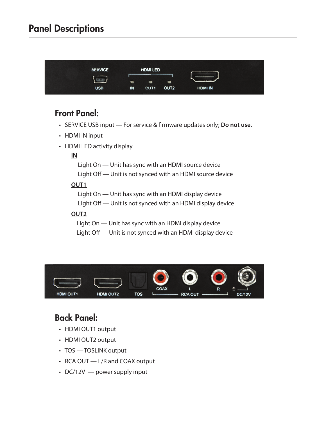## Panel Descriptions



### Front Panel:

- SERVICE USB input For service & firmware updates only; **Do not use.**
- HDMI IN input
- HDMI LED activity display

#### **IN**

 Light On — Unit has sync with an HDMI source device Light Off — Unit is not synced with an HDMI source device

#### **OUT1**

 Light On — Unit has sync with an HDMI display device Light Off — Unit is not synced with an HDMI display device

#### **OUT2**

 Light On — Unit has sync with an HDMI display device Light Off — Unit is not synced with an HDMI display device



## Back Panel:

- HDMI OUT1 output
- HDMI OUT2 output
- TOS TOSLINK output
- RCA OUT L/R and COAX output
- DC/12V  $-$  power supply input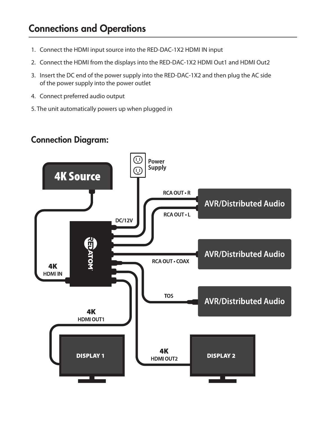## Connections and Operations

- 1. Connect the HDMI input source into the RED-DAC-1X2 HDMI IN input
- 2. Connect the HDMI from the displays into the RED-DAC-1X2 HDMI Out1 and HDMI Out2
- 3. Insert the DC end of the power supply into the RED-DAC-1X2 and then plug the AC side of the power supply into the power outlet
- 4. Connect preferred audio output
- 5. The unit automatically powers up when plugged in

### Connection Diagram:

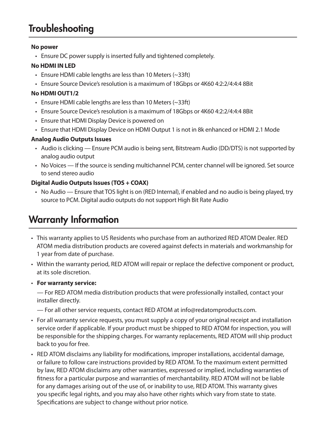## **Troubleshooting**

#### **No power**

• Ensure DC power supply is inserted fully and tightened completely.

#### **No HDMI IN LED**

- Ensure HDMI cable lengths are less than 10 Meters (~33ft)
- Ensure Source Device's resolution is a maximum of 18Gbps or 4K60 4:2:2/4:4:4 8Bit

#### **No HDMI OUT1/2**

- Ensure HDMI cable lengths are less than 10 Meters (~33ft)
- Ensure Source Device's resolution is a maximum of 18Gbps or 4K60 4:2:2/4:4:4 8Bit
- Ensure that HDMI Display Device is powered on
- Ensure that HDMI Display Device on HDMI Output 1 is not in 8k enhanced or HDMI 2.1 Mode

#### **Analog Audio Outputs Issues**

- Audio is clicking Ensure PCM audio is being sent, Bitstream Audio (DD/DTS) is not supported by analog audio output
- No Voices If the source is sending multichannel PCM, center channel will be ignored. Set source to send stereo audio

#### **Digital Audio Outputs Issues (TOS + COAX)**

 • No Audio — Ensure that TOS light is on (RED Internal), if enabled and no audio is being played, try source to PCM. Digital audio outputs do not support High Bit Rate Audio

## Warranty Information

- This warranty applies to US Residents who purchase from an authorized RED ATOM Dealer. RED ATOM media distribution products are covered against defects in materials and workmanship for 1 year from date of purchase.
- Within the warranty period, RED ATOM will repair or replace the defective component or product, at its sole discretion.
- **For warranty service:**

— For RED ATOM media distribution products that were professionally installed, contact your installer directly.

— For all other service requests, contact RED ATOM at info@redatomproducts.com.

- For all warranty service requests, you must supply a copy of your original receipt and installation service order if applicable. If your product must be shipped to RED ATOM for inspection, you will be responsible for the shipping charges. For warranty replacements, RED ATOM will ship product back to you for free.
- RED ATOM disclaims any liability for modifications, improper installations, accidental damage, or failure to follow care instructions provided by RED ATOM. To the maximum extent permitted by law, RED ATOM disclaims any other warranties, expressed or implied, including warranties of fitness for a particular purpose and warranties of merchantability. RED ATOM will not be liable for any damages arising out of the use of, or inability to use, RED ATOM. This warranty gives you specific legal rights, and you may also have other rights which vary from state to state. Specifications are subject to change without prior notice.